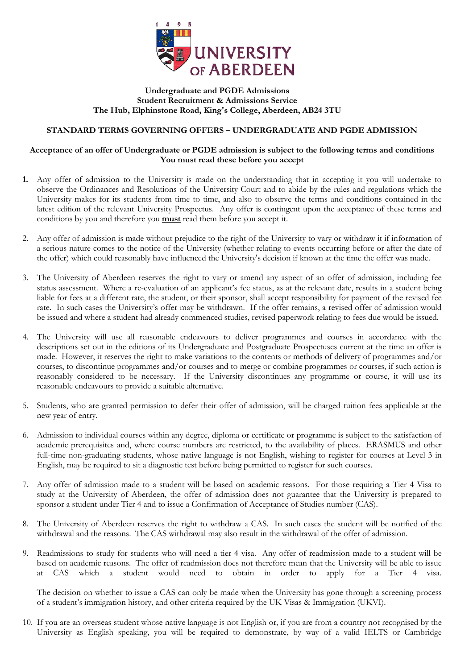

## **Undergraduate and PGDE Admissions Student Recruitment & Admissions Service The Hub, Elphinstone Road, King's College, Aberdeen, AB24 3TU**

## **STANDARD TERMS GOVERNING OFFERS – UNDERGRADUATE AND PGDE ADMISSION**

## **Acceptance of an offer of Undergraduate or PGDE admission is subject to the following terms and conditions You must read these before you accept**

- **1.** Any offer of admission to the University is made on the understanding that in accepting it you will undertake to observe the Ordinances and Resolutions of the University Court and to abide by the rules and regulations which the University makes for its students from time to time, and also to observe the terms and conditions contained in the latest edition of the relevant University Prospectus. Any offer is contingent upon the acceptance of these terms and conditions by you and therefore you **must** read them before you accept it.
- 2. Any offer of admission is made without prejudice to the right of the University to vary or withdraw it if information of a serious nature comes to the notice of the University (whether relating to events occurring before or after the date of the offer) which could reasonably have influenced the University's decision if known at the time the offer was made.
- 3. The University of Aberdeen reserves the right to vary or amend any aspect of an offer of admission, including fee status assessment. Where a re-evaluation of an applicant's fee status, as at the relevant date, results in a student being liable for fees at a different rate, the student, or their sponsor, shall accept responsibility for payment of the revised fee rate. In such cases the University's offer may be withdrawn. If the offer remains, a revised offer of admission would be issued and where a student had already commenced studies, revised paperwork relating to fees due would be issued.
- 4. The University will use all reasonable endeavours to deliver programmes and courses in accordance with the descriptions set out in the editions of its Undergraduate and Postgraduate Prospectuses current at the time an offer is made. However, it reserves the right to make variations to the contents or methods of delivery of programmes and/or courses, to discontinue programmes and/or courses and to merge or combine programmes or courses, if such action is reasonably considered to be necessary. If the University discontinues any programme or course, it will use its reasonable endeavours to provide a suitable alternative.
- 5. Students, who are granted permission to defer their offer of admission, will be charged tuition fees applicable at the new year of entry.
- 6. Admission to individual courses within any degree, diploma or certificate or programme is subject to the satisfaction of academic prerequisites and, where course numbers are restricted, to the availability of places. ERASMUS and other full-time non-graduating students, whose native language is not English, wishing to register for courses at Level 3 in English, may be required to sit a diagnostic test before being permitted to register for such courses.
- 7. Any offer of admission made to a student will be based on academic reasons. For those requiring a Tier 4 Visa to study at the University of Aberdeen, the offer of admission does not guarantee that the University is prepared to sponsor a student under Tier 4 and to issue a Confirmation of Acceptance of Studies number (CAS).
- 8. The University of Aberdeen reserves the right to withdraw a CAS. In such cases the student will be notified of the withdrawal and the reasons. The CAS withdrawal may also result in the withdrawal of the offer of admission.
- 9. Readmissions to study for students who will need a tier 4 visa. Any offer of readmission made to a student will be based on academic reasons. The offer of readmission does not therefore mean that the University will be able to issue at CAS which a student would need to obtain in order to apply for a Tier 4 visa.

The decision on whether to issue a CAS can only be made when the University has gone through a screening process of a student's immigration history, and other criteria required by the UK Visas & Immigration (UKVI).

10. If you are an overseas student whose native language is not English or, if you are from a country not recognised by the University as English speaking, you will be required to demonstrate, by way of a valid IELTS or Cambridge